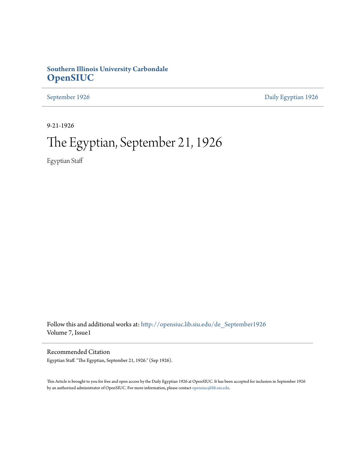## **Southern Illinois University Carbondale [OpenSIUC](http://opensiuc.lib.siu.edu?utm_source=opensiuc.lib.siu.edu%2Fde_September1926%2F2&utm_medium=PDF&utm_campaign=PDFCoverPages)**

[September 1926](http://opensiuc.lib.siu.edu/de_September1926?utm_source=opensiuc.lib.siu.edu%2Fde_September1926%2F2&utm_medium=PDF&utm_campaign=PDFCoverPages) [Daily Egyptian 1926](http://opensiuc.lib.siu.edu/de_1926?utm_source=opensiuc.lib.siu.edu%2Fde_September1926%2F2&utm_medium=PDF&utm_campaign=PDFCoverPages)

9-21-1926

# The Egyptian, September 21, 1926

Egyptian Staff

Follow this and additional works at: [http://opensiuc.lib.siu.edu/de\\_September1926](http://opensiuc.lib.siu.edu/de_September1926?utm_source=opensiuc.lib.siu.edu%2Fde_September1926%2F2&utm_medium=PDF&utm_campaign=PDFCoverPages) Volume 7, Issue1

Recommended Citation

Egyptian Staff. "The Egyptian, September 21, 1926." (Sep 1926).

This Article is brought to you for free and open access by the Daily Egyptian 1926 at OpenSIUC. It has been accepted for inclusion in September 1926 by an authorized administrator of OpenSIUC. For more information, please contact [opensiuc@lib.siu.edu.](mailto:opensiuc@lib.siu.edu)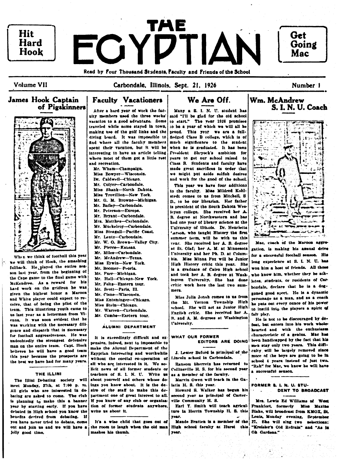

**Volume VII** 

Carbondale, Illinois, Sept. 21, 1926

## **James Hook Captain** of Pigskinners



When we think of football this year we will think of Hook, the smashing fullback. He played the entire season last year. from the beginning of the Cape game to the final game with McKendree. As a reward for his hard work on the gridiron he was given the highest honor a Marcon and White player could expect to receive, that of being the pilot of the team. This illustrious youth came to us last year as a letterman from Vienna. It was soon evident that he was working with the necessary diligence and dispatch that is necessary for football aggressiveness. He was undoubtedly the strongest defensive man on the entire team. Capt. Hook believes he will have a good team this year because the prospects are the best we have had for many years.

#### THE ILLINI

The Illini Debating society will meet Monday, 27th, at 7:00 p. ru. All girls who are interested in debating are asked to come. The club is planning to make this a banner year by starting early. If you have debated in High school you know the benefits derived from debating. If you have never tried to debate, come out and ioin us and we will have a jolly good time.

## **Faculty Vacationers**

After a bard year of work the facuity members used the three weeks' vacation to a good advantage. Some traveled while some stayed in town. making use of the golf links and the diving board. It was impossible to find where all the faculty members enent their vacation, but it will be interesting to have an article telling where most of them got a little rest and recreation.

Mr. Wham-Champaign. Miss Bowyer-Wisconsin. Dr. Caldwell-Chicago. Mr. Colyer-Carbondale. Miss Shank-North Dakota. Miss Trovillion-New York. Mr. G. M. Browne-Michigan. Mr. Bailey-Carbondale. Mr. Peterson-Europe. Mr. Bryant-Carbondale. Mrs. Matthes-Carbondale. Mr. Muckelrov-Carbondale. Miss Steagall-Pacific Coast. Mr. Lentz-Carbondale. Mr. W. O. Brown-Valley City. Mr. Pierce-Kausas. Mr. Miles-Carbondale. Mr. McAndrew-Texas. Miss Erwin-New York. Mr. Boomer-Peorla. Mr. Furr-Michigan. Mr. Hall-Chicago-New York. Mr. Felts-Eastern tour. Mr. Scott-Paris, Ill. Mr. Cisne-Wisconsin. Miss Entsminger-Chicago.

Miss Stein-Chicago. Mr. Warren-Carbondale.

Mr. Comba-Eastern tour.

#### ÁLUMNI DEPARTMENT

It is exceedingly difficult and expensive, indeed, next to impossible to make the Alumni Department of the Egyptian interesting and worthwhile without the cordial co-operation of all who are interested in it. We solicit news of all former students or teachers of S. I. N. U. Write 歌曲 about yourself and others whose doings you know about. It is the desire of the staff to make this denartment one of great interest to all. If you know of any club or organization of former students anywhere. write us about it.

It's a wise child that goes out of the room to laugh when the old man mashes his thumb.

## We Are Off.

Many a S. I. N. U. student has said "I'll be glad for the old school to start." The year 1926 promises in he a vear of which we will all he proud. This year we are a fullfiedged Class B college, which is of much significance to the student when he is graduated. It has been President Shrvock's ambition for years to get our school raised to Class B. Students and faculty have made great sacrifices in order that we might but aside selfish desires and work for the good of the school.

This year we have four additions to the faculty. Miss Mildred Kohlstedt comes to us from Mitchell, S D., to be our librarian. Her father is president of the South Dakota Wesleyan college. She received her A. **R.** degree at Northwestern and has had one year of library science at the University of Ullnois. Dr. Henrietta arson, who taught History the first summer term, will be with us this vear. She received her A. B. degree at St. Olaf; her A. M. at Minnesota University and her Ph. D. at Columbia. Miss Minna Fox will be Junior High History critic this year. She is a graduate of Cairo High school and took her A. B. degree at Washington University. She has done critic work here the last two summers.

Miss Julia Jonah comes to us from the Mt. Vernon Township High school. She will act as Junior High English critic. She received her A. B. and A. M. degrees at Washington l'niversity.

#### WHAT OUR FORMER EDITORS ARE DOING

J. Lester Buford is principal of the Lincoln school in Carbondale.

Ransom Sherretz has returned to Collineville H. S. for his second year as a member of the faculty.

Marvin Owen will teach in the Galatia H. S. this year.

Howard S. Walker has begun his second year as principal of Carterville Community H. S.

Earl Y. Smith will teach agriculture in Herrin Township H. S. this year.

Maude Bratten is a member of the High school faculty at Hurst this year.



Wm. McAndrew

Mac. coach of the Maroon aggregation, is making his annual drive for a successful football season. His long experience at S. L N. U. has won him a host of friends. All those who know him, whether they be athletes, students, or residents of Carbondale, declare that he is a doggoned good aport. He is a dynamic personage as a man, and as a coach he puts out every ounce of his power to instill into the players a spirit of

fair play. He is not to be discouraged by defeat, but enters into his work wholehearted and with the enthusiasm characteristic of a genius. Mac has been handicapped by the fact that his men stay only two years. This difficuity will be largely removed since more of the boys are going to be in school 4 years instead of just two. "Rah" for Mac, we know he will have a successful season.

#### FORMER S. I. N. U. STU-DENT TO BROADCAST

Mrs. Lewis Ed Williams of West Frankfort, formerly Miss Maxine Blake, will broadcast from KMOX, St. Louis, Monday evening, September 27. She will sing two selections: "Kreisler's Old Refrain" and "As in Oh Gardens."

Number 1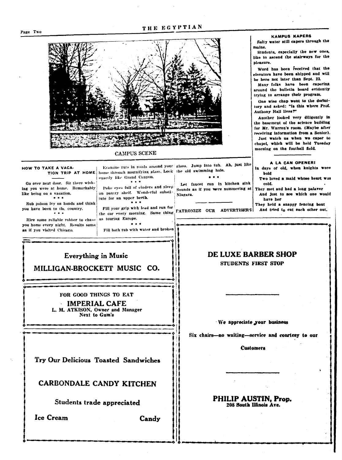#### Page Two

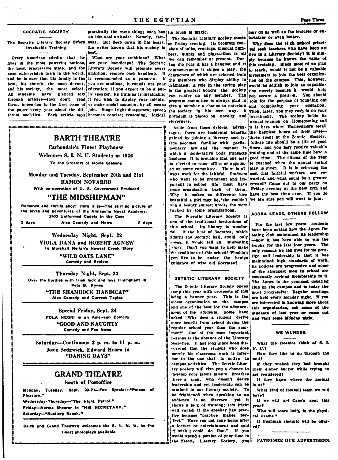#### SOCRATIC SOCIETY

Invaluable Training

Every American admits that he lives in the most powerful nations, are your handicaps? The Socratic ing the year it has a banquet and it this training. Since most of us plan the most progressive state, and the Literary Society will promote every commencement it stages a play, the two teach, would it not be a valuable most enterprising town in the world. ambition, remove each handicap. It characters of which are selected from investment to join the best organizaand he is sure that his family is the is recommended as a panacea. If the members who display ability in tion on the campus. This, however,

an identical attitude: Namely, fair- The Socratic Literary Society meets tertainer or even better. The Socratic Literary Society Offers ness. But deep down in his heart. on Friday evening. Its program conbest.

best, his church, the most devout, you are studious, it rounds out your dramatics. A role in the spring play would be selfish to join an organizaand his society, the most select. education; if you expect to be a publish the greatest honors the society tion merely because it would help All students have glanced idly lie speaker, its training is invaluable; can confer on any member. The you secure a position. through articles—they don't read if you wish to display your talents, program committee is always glad to them, appearing in the first issue of or make social contacts, by all means give a member a chance to entertain and completing your the paper every year about the dif- join. Stage-fright disappears; speech the society in his own way. A Then, later, you may cash in on your

## **BARTH THEATRE**

Carbondale's Finest Playhouse

Welcomes S. L. N. U. Students in 1926 To the Greatest of Movie Seasons

Monday and Tuesday, September 20th and 21st **RAMON NOVARRO** 

With co-operation of U. S. Government Produced

### "THE MIDSHIPMAN"

Romance and thrills ahoy! Here it is-The stirring picture of the loves and adventures of the Annapolis Naval Academy. 2400 Uniformed Cadets in the Cast Also Comedy and News

2 days

2 days

Wednesday Night, Sept. 22 VIOLA DANA and ROBERT AGNEW In Marshall Neilan's Newest Crook Story

> "WILD OATS LANE" **Comedy and Review**

Thursday Night, Sept. 23 Over the hurdles with trish luck and love triumphant in Pete B. Kynes "THE SHAMROCK HANDICAP" Also Comedy and Current Topics

> Special Friday, Sept. 24 POLA NEGRI In an American Comedy "GOOD AND NAUGHTY Comedy and Fox News

Saturday-Continuous 2 p.m. to 11 p.m. Josie Sedgwick, Edward Hearn in "DARING DAYS"

## **GRAND THEATRE**

## South of Postoffice

Monday, Tuesday, Sept. 20-21-Fox Special-"Palace of Pleasure.

Wednesday-Thursday-"The Night Patrol." Friday-Norma Shearer in "HIS SECRETARY." Saturday-"Rustlers Ranch."

Barth and Grand Theatres welcomes the S. I. N. U. to the finest photoplays available

practically the same thing; each has its touch is magic.

the writer knows that his society is sists of talks, readings, musical numbers, stunts and plays-that is sll tive in a Literary Society? It is sim-What are your ambitions? What we can remember at present. Dur ply because he knows the value of ferent societies. Each article says becomes concise; reasoning, logical premium is placed on novelty and cleverness.

> tages, there are incidental benefits the happiest hours of their livesgained by joining a literary society. those spent at the Zetetic Society. One becomes familiar with parlia- college life should be a life of good mentary law and the manner in times, and you may receive valuable which a deliberative body transacts training and at the same time have a business. It is probable that one may good time. The climax of the year be elected to some office or appoint- it reached when the annual spring ed on some committee. There is al- play is given. It is in selecting the ways work for the faithful. Students cast that faithful workers are rewho want to be prominent and im- warded, and what could be a greater portant in school life must have reward? Come out to our party on some organization back of them. Friday evening at the new gym and Why, it makes no difference how have the best time ever. If you do beautiful a girl may be, 'she couldn't we are sure you will want to join. win a beauty contest unless she were backed by some organizations.

The Socratic Literary Society is one of the traditional institutions of this school. Its history is wonderful. If the bust of Socrates, which adorns the Socratic hall, could only speak, it would tell an interesting story. Don't you want to help make the traditions of this school? Wouldn't you like to be under the benign guidance of wise old Socrates?

#### ZETETIC LITERARY SOCIETY

The Zetetic 3 iterary Society opens camp this year with prospects of this being a banner year. This is the o'dest organization on the campus and one of the best for the advancement of the students. Some have asked "Why does a student derive more benefit from school during the regular school vear than the summer?" One of the most important reasons is the absence of the Literary Societies. It has long since been discovered that the student who does merely his classroom work is inferfor to the one that is active in campus activities. The Zetetic Literary Society will give you a chance to develop your latent talents. Breathes there a man, who doesn't desire leadership and yet leadership can be attained in our literary society. To be frightened when speaking to an andience is no disgrace, yet it shows a lack of training; this fright will vanish if the speaker has practice because "practice makes perfect." Have you not gone home after a lecture or entertainment and said "I wish I could do that." If you would spend a portion of your time in the Zetetic Literary Society, you

may do as well as the lecturer or en-

Why does the High School principal seek teachers who have been ac-You should join for the purpose of rounding out education. investment. The society holds its annual reunion on Homecoming and Aside from these evident advan- it is here where Homecomers recall

AGORA LEADS, OTHERS FOLLOW

For the last few years students have been asking how the Agora Debating club maintained its leadership -how it has been able to win the trophy for the last four years. The only reasons we can give for its prestige and leadership is that it has maintained high standards of work. its policies are progressive and some of the strongest men in school are constantly seeking membership in it. The Agora is the youngest debating club on the campus and is today the most progressive. Regular meetings are held every Monday night. If you are interested in knowing more about this organization, ask some of the students of last year or come out and visit some Monday might.

#### WE WIINDER

What the freshies think of S. L. **N. U.1** 

How they like to go through the mili?

If they wished they had brought their dinner hucket while trying to get registered?

If they know where the normal is at?

What kind of foothall team we will have?

If we will get Cape's goat this year?

Who will score 100% in the physical exams.?

If freshman rhetoric will be offered ?

PATRONIZE OUR ADVERTISERS.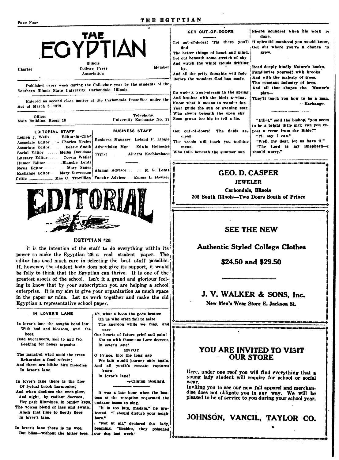THE EGYPTIAN

| TAE<br><b>EGYPTIAN</b><br>Illinois<br>College Press<br><b>Charter</b><br>Association<br>Published every week during the Collegiate year by the students of the                                                                                                                                                                                                                                                                                                                                                                                                                                                             | Member                                                                                                                                                                                              | Siceps soundest when his work is<br>GET OUT-OF-DOORS<br>done.<br>Get out-of-doors! Tis there you'll if splendid manhood you would know.<br>Get out where you've a chance to<br>find<br>The better things of heart and mind.<br>ETOW.<br>Get out beneath some stretch of sky<br>And watch the white clouds drifting<br>Read deeply kindly Nature's books,<br>by,<br>Familiarize yourself with brooks<br>And all the petty thoughts will fade<br>And with the majesty of trees,<br>Before the wonders God has made.<br>The constant industry of bees,<br>And all that shapes the Master's<br>Go wade a trout-stream in the spring<br>plan-<br>And brother with the birds a-wing;<br>They'll teach you how to be a man.<br>Know what it means to wander far.<br>-Exchange.<br>Your guide the sun or evening star. |  |
|----------------------------------------------------------------------------------------------------------------------------------------------------------------------------------------------------------------------------------------------------------------------------------------------------------------------------------------------------------------------------------------------------------------------------------------------------------------------------------------------------------------------------------------------------------------------------------------------------------------------------|-----------------------------------------------------------------------------------------------------------------------------------------------------------------------------------------------------|----------------------------------------------------------------------------------------------------------------------------------------------------------------------------------------------------------------------------------------------------------------------------------------------------------------------------------------------------------------------------------------------------------------------------------------------------------------------------------------------------------------------------------------------------------------------------------------------------------------------------------------------------------------------------------------------------------------------------------------------------------------------------------------------------------------|--|
| Southern Illinois State University, Carbondale, Illinois.<br>Entered as second class matter at the Carbondale Postoffice under the<br>Act of March 3, 1879.                                                                                                                                                                                                                                                                                                                                                                                                                                                                |                                                                                                                                                                                                     |                                                                                                                                                                                                                                                                                                                                                                                                                                                                                                                                                                                                                                                                                                                                                                                                                |  |
| Telephone:<br>Office:<br>University Exchange No. 17<br>Main Building, Room 16<br><b>BUSINESS STAFF</b><br><b>EDITORIAL STAFF</b><br>Editor-In-Chief<br>Lemen J. Wells<br>Business Manager Leland P. Lingle<br>Associate Editor ~ Charles Neeley<br>Edwin Heinecke<br>Advertising Mgr<br>Bessie Snith<br>Associate Editor<br>Social Editor Melba Davidson<br><b>Typist</b><br>. Alberta Kochlenbach<br>Literary Editor  Corem Waller<br>Humor EditorBlanche Lentz<br>News Editor  Mary Sauer<br>Alumni Advisor E. G. Lentz<br>Mary Stevenson<br>Exchange Editor<br>Critic  Mae C. Trovillion Faculty Advisor Emma L. Bowyer | Who sleeps beneath the open sky<br>Soon grows too big to tell a lie.<br>Get out-of-doors! The fields are<br>clean,<br>The woods will teach you nothing<br>mean.<br>Who toils beneath the summer sun | "Ethel." said the bishop, "you seem<br>to be a bright little girl; can you re-<br>peat a verse from the Bible?"<br>"I'll say I can."<br>"Well, my dear, let us have it."<br>"The Lord is my Shepherd-I<br>should worry."                                                                                                                                                                                                                                                                                                                                                                                                                                                                                                                                                                                       |  |
|                                                                                                                                                                                                                                                                                                                                                                                                                                                                                                                                                                                                                            | <b>GEO. D. CASPER</b><br><b>JEWELER</b><br>Carbondale, Illinois<br>205 South Illinois—Two Doors South of Prince                                                                                     |                                                                                                                                                                                                                                                                                                                                                                                                                                                                                                                                                                                                                                                                                                                                                                                                                |  |
|                                                                                                                                                                                                                                                                                                                                                                                                                                                                                                                                                                                                                            |                                                                                                                                                                                                     | <b>SEE THE NEW</b>                                                                                                                                                                                                                                                                                                                                                                                                                                                                                                                                                                                                                                                                                                                                                                                             |  |

#### **EGYPTIAN '26**

it is the intention of the staff to do everything within its! power to make the Egyptian '26 a real student paper. The editor has used much care in selecting the best staff possible. If, however, the student body does not give its support, it would be folly to think that the Egyptian can thrive. It is one of the greatest assets of the school. Isn't it a grand and glorious feeling to know that by your subscription you are helping a school enterprise. It is my aim to give your organization as much space in the paper as mine. Let us work together and make the old Egyptian a representative school paper.

| IN LOVER'S LANE<br>In lover's lane the boughs bend low<br>With bud and blossom, and<br>the<br>bees.<br>Bold buccaneers, sail to and fro.<br>Seeking for honey argosies.<br>The minstrel wind amid the trees<br>Reiterates a fond refrain:<br>And there are biithe bird melodies<br>In lover's lane.                                                    | Ah, what a boon the gods bestow<br>On us who often fail to seize<br>The guerdon while we may, and<br>ease<br>Our hearts of future grief and pain!<br>Not so with those-so Love decrees.<br>In lover's lane!<br><b>ENVOY</b><br>O Prince, into the long ago<br>We fain would journey once again,<br>And all youth's roseate raptures<br>know. |
|--------------------------------------------------------------------------------------------------------------------------------------------------------------------------------------------------------------------------------------------------------------------------------------------------------------------------------------------------------|----------------------------------------------------------------------------------------------------------------------------------------------------------------------------------------------------------------------------------------------------------------------------------------------------------------------------------------------|
| In lover's lane there is the flow<br>Of lyrical brook harmonies:<br>And when declines the even-glow.<br>And night, by radiant decrees,<br>Her path illumines, in tender keys,<br>The voices blend of lass and swain:<br>Alack that time to fleetly flees<br>In lover's lane.<br>In lover's lane there is no woe.<br>But bliss-without the bitter lees. | In lover's lane!<br>---Clinton Scollard.<br>It was a late hour when the hos-<br>tess at the reception requested the<br>eminent basso to sing.<br>"It is too late, madam," he pro-<br>tested. "I should disturb your neigh-<br>hora."<br>"Not at all," declared the lady,<br>beaming. "Besides, they poisoned<br>Lour dog last week."         |

### \$24.50 and \$29.50

**Authentic Styled College Clothes** 

J. V. WALKER & SONS, Inc.

New Men's Wear Store E. Jackson St.

### YOU ARE INVITED TO VISIT **OUR STORE**

Here, under one roof you will find everything that a young lady student will require for school or social wear.

Inviting you to see our new fall apparel and merchandise does not obligate you in any way. We will be pleased to be of service to you during your school year.

JOHNSON, VANCIL, TAYLOR CO.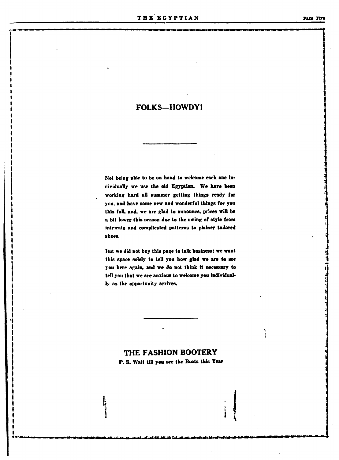## **FOLKS-HOWDY!**

Not being able to be on hand to welcome each one individually we use the old Egyptian. We have been working hard all summer getting things ready for you, and have some new and wonderful things for you this fall, and, we are glad to announce, prices will be a bit lower this season due to the swing of style from intricate and complicated patterns to plainer tailored shoes.

But we did not buy this page to talk business; we want this space solely to tell you how glad we are to see you here again, and we do not think it necessary to tell you that we are anxious to welcome you individually as the opportunity arrives.

## THE FASHION BOOTERY

P. S. Wait till you see the Boots this Year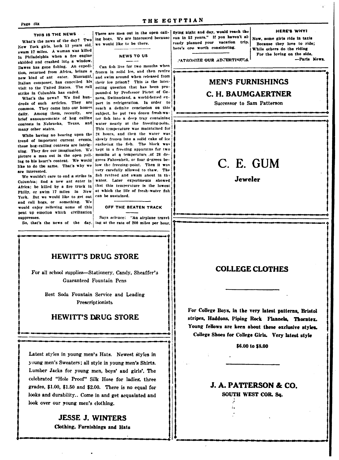Page Six

#### THE EGYPTIAN

#### THIS IS THE NEWS

What's the news of the day? Two New York girls, both 12 years old, swam 17 miles. A woman was killed in Philadelphia when a fire engine skidded and crashed into a window. Dawes has gone fishing. An expedition, returned from Africa, brings a new kind of ant eater. Mascagni, Italian composer, has cancelled his visit to the United States. The rail strike in Columbia has ended.

What's the news? We find hundreds of such articles. They are common. They come into our homes daily. Among them, recently, are brief announcements of hog calling contests in Nebraska, Texas, and many other states.

While having no bearing upon the trend of important current events. these hog-calling contests are intriguing. They fire our imagination. We! picture a man out in the open yelling to his heart's content. We would like to do the same. That's why we are interested.

We wouldn't care to end a strike in Columbia: find a new ant eater in Africa; be killed by a fire truck in Philly, or swim 17 miles in New York. But we would like to get out and call hogs, or something. We would enjoy relieving some of this pent up emotion which civilization suppresses.

ing hogs. We are interested because we would like to be there.

#### **NEWS TO US**

Can fish live for two months when frozen in solid ice, and then revive and swim around when released from their ice prison? This is the interesting question that has been propounded by Professor Pictet of Geneva, Switzerland, a world-famed expert in refrigeration. In order to reach a definite conclusion on this subject, he put two dozen fresh-water fish into a deep tray containing water nearly at the freezing-point. This temperature was maintained for 24 hours, and then the water was slowly frozen into a solid cake of ice enclosing the fish. The block was kept in a freezing apparatus for two months at a temperature of 28 degrees Fahrenheit, or four degrees below the freezing-point. Then it was very carefully allowed to thaw. The fish revived and swam about in the water. Later experiments showed that this temperature is the lowest at which the life of fresh-water fish can be sustained.

#### OFF THE BEATEN TRACK

Says science: "An airplane travel-So, that's the news of the day. ing at the rate of 200 miles per hour.

There are men out in the open call- flying night and day, would reach the sun in 52 years." If you haven't already planned your vacation trip. here's ore worth considering.

**HERE'S WHY!** Now, some girls ride in taxis Because they love to ride; While others do the riding For the loving on the side. -Paris News.

PATRONIZE OUR ADVERTISERS.

## **MEN'S FURNISHINGS** C. H. BAUMGAERTNER

Successor to Sam Patterson

## C. E. GUM

**Jeweler** 

## **HEWITT'S DRUG STORE**

For all school supplies-Stationery, Candy, Sheaffer's **Guaranteed Fountain Pens** 

> Best Soda Fountain Service and Leading Prescriptionists

### **HEWITT'S DRUG STORE**

Latest styles in young men's Hats. Newest styles in young men's Sweaters; all style in young men's Shirts. Lumber Jacks for young men, boys' and girls'. The celebrated "Hole Proof" Silk Hose for ladies, three grades,  $$1.00$ ,  $$1.50$  and  $$2.00$ . There is no equal for looks and durability.. Come in and get acquainted and look over our young men's clothing.

> JESSE J. WINTERS Clothing, Furnishings and Hats

### **COLLEGE CLOTHES**

For College Boys, in the very latest patterns, Bristol stripes, Haddons, Piping Rock Flannels, Thorntex. Young fellows are keen about these exclusive styles. College Shoes for College Girls. Very latest style

\$6.00 to \$8.00

## **J. A. PATTERSON & CO.**

SOUTH WEST COR. Sq.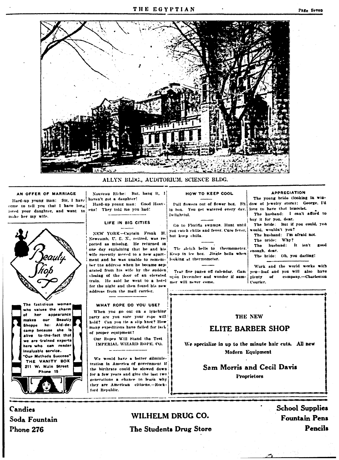

#### ALLYN BLDG., AUDITORIUM, SCIENCE BLDG.

#### AN OFFER OF MARRIAGE

Hard-up young man: Sir, I have come to tell you that I have long loved your daughter, and want to make her my wife.

The fastidious woman who values the charm appearance n# her **Beautiv OHP** makaa Aid-de-Shoppe her. camp because she is alive to-the-fact that we are trained experts hare who can render invaluable service. 'Our Methods Succeea" THE VANITY BOX 211 W. Main Street Phone 15

Nouveau Riche: But, hang it, 1 haven't got a daughter! Hard-up young man: Good Heav-

ens! They told me you had!

#### LIFE IN BIG CITIES

NEW YORK-Captain Frank H. Newcomb, U. E. N., retired, was reported as missing. He returned in one day explaining that he and his wife recently moved to a new apartment and he was unable to remember the address when he became separated from his wife by the sudden closing of the door of an elevated train. He said he went to a hotel for the night and then found his new address from the mail carrier.

#### WHAT ROPE DO YOU USE?

When you go oul on a lynching party are you sure your rope will! hold? Can you tie a slip knot? How many expeditions have failed for lack of proper equipment?

Our Ropes Will Stand the Test IMPERIAL WIZARD ROPE. CO.

We would have a better administration in America of government if the birthrate could be slowed down for a few years and give the last two generations a chance to learn why they are American citizens.-Rockford Republic.

#### HOW TO KEEP COOL

Puil flowers out of flower box. Sit in box. You get watered every day. Delightful.

Go to Florida swamps. Hunt until von catch chills and fever. Cure fever, but keep chills.

Tie sleich bells to thermometer. Keep in ice box. Jingle bells when looking at thermometer.

Tear five pages off calendar. Gaze uton December and wonder if summer will never come.

#### **APPRECIATION** The young bride (looking in win-

dow of jewelry store): George, I'd love to have that bracelet. The husband. I can't afford to buy it for you, dear. The bride. But if you could, you would, wouldn't you? The husband: I'm afraid not. The bride: Why? The husband:  $\mathbf{B}$ good enough, dear. The bride: Oh, you darling! Work and the world works with

you-loaf and you will also have company.-Charleston plenty of Courter.

#### **THE NEW**

#### **ELITE BARBER SHOP**

We specialize in up to the minute hair cuts. All new Modern Equipment

> **Sam Morris and Cecil Davis Proprietors**

Candies Soda Fountain **Phone 276** 

## WILHELM DRUG CO. The Students Drug Store

**School Supplies Fountain Pens Pencils**